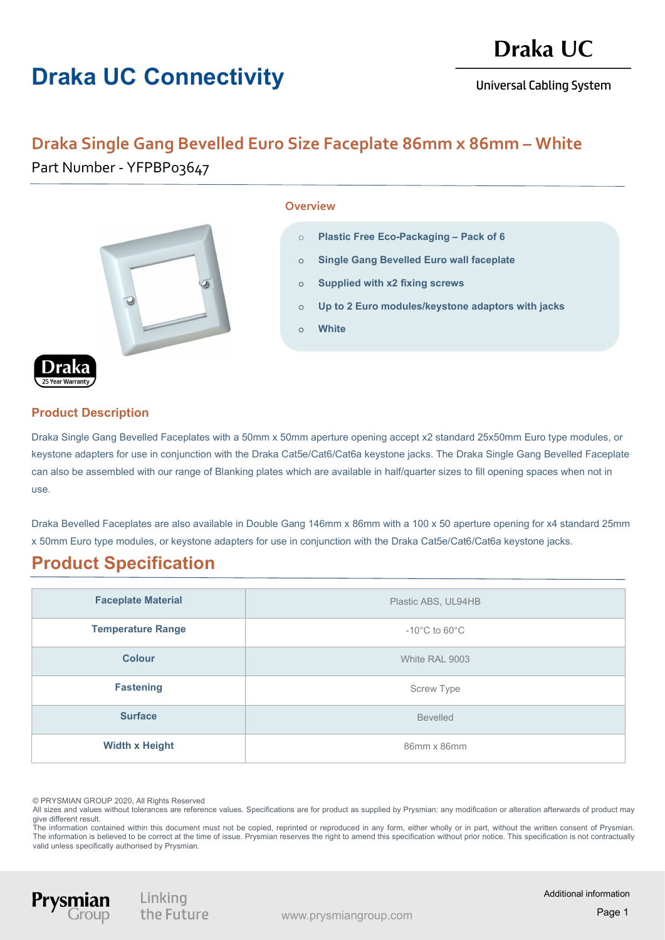# Draka UC Connectivity

**Universal Cabling System** 

## Draka Single Gang Bevelled Euro Size Faceplate 86mm x 86mm - White Part Number - YFPBP03647



#### **Overview**

- o Plastic Free Eco-Packaging Pack of 6
- o Single Gang Bevelled Euro wall faceplate
- o Supplied with x2 fixing screws
- o Up to 2 Euro modules/keystone adaptors with jacks
- o White

#### Product Description

Draka Single Gang Bevelled Faceplates with a 50mm x 50mm aperture opening accept x2 standard 25x50mm Euro type modules, or keystone adapters for use in conjunction with the Draka Cat5e/Cat6/Cat6a keystone jacks. The Draka Single Gang Bevelled Faceplate can also be assembled with our range of Blanking plates which are available in half/quarter sizes to fill opening spaces when not in use.

Draka Bevelled Faceplates are also available in Double Gang 146mm x 86mm with a 100 x 50 aperture opening for x4 standard 25mm x 50mm Euro type modules, or keystone adapters for use in conjunction with the Draka Cat5e/Cat6/Cat6a keystone jacks.

### Product Specification

| <b>Faceplate Material</b> | Plastic ABS, UL94HB                |
|---------------------------|------------------------------------|
| <b>Temperature Range</b>  | $-10^{\circ}$ C to 60 $^{\circ}$ C |
| <b>Colour</b>             | White RAL 9003                     |
| <b>Fastening</b>          | Screw Type                         |
| <b>Surface</b>            | <b>Bevelled</b>                    |
| <b>Width x Height</b>     | 86mm x 86mm                        |

© PRYSMIAN GROUP 2020, All Rights Reserved

Prysm

All sizes and values without tolerances are reference values. Specifications are for product as supplied by Prysmian: any modification or alteration afterwards of product may give different result.

The information contained within this document must not be copied, reprinted or reproduced in any form, either wholly or in part, without the written consent of Prysmian. The information is believed to be correct at the time of issue. Prysmian reserves the right to amend this specification without prior notice. This specification is not contractually valid unless specifically authorised by Prysmian.